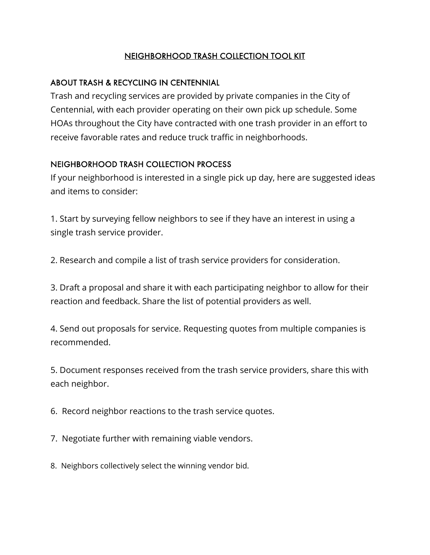## NEIGHBORHOOD TRASH COLLECTION TOOL KIT

## ABOUT TRASH & RECYCLING IN CENTENNIAL

Trash and recycling services are provided by private companies in the City of Centennial, with each provider operating on their own pick up schedule. Some HOAs throughout the City have contracted with one trash provider in an effort to receive favorable rates and reduce truck traffic in neighborhoods.

## NEIGHBORHOOD TRASH COLLECTION PROCESS

If your neighborhood is interested in a single pick up day, here are suggested ideas and items to consider:

1. Start by surveying fellow neighbors to see if they have an interest in using a single trash service provider.

2. Research and compile a list of trash service providers for consideration.

3. Draft a proposal and share it with each participating neighbor to allow for their reaction and feedback. Share the list of potential providers as well.

4. Send out proposals for service. Requesting quotes from multiple companies is recommended.

5. Document responses received from the trash service providers, share this with each neighbor.

6. Record neighbor reactions to the trash service quotes.

7. Negotiate further with remaining viable vendors.

8. Neighbors collectively select the winning vendor bid.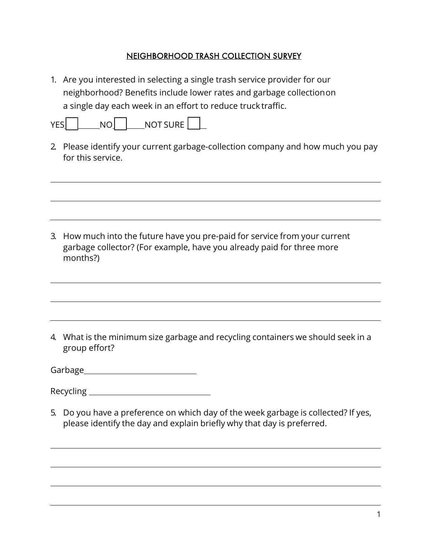#### NEIGHBORHOOD TRASH COLLECTION SURVEY

1. Are you interested in selecting a single trash service provider for our neighborhood? Benefits include lower rates and garbage collectionon a single day each week in an effort to reduce truck traffic.

| VГ | <b>NOT SURE</b> |  |
|----|-----------------|--|
|    |                 |  |

2. Please identify your current garbage-collection company and how much you pay for this service.

3. How much into the future have you pre-paid for service from your current garbage collector? (For example, have you already paid for three more months?)

- 4. What is the minimum size garbage and recycling containers we should seek in a group effort?
- Garbage
- Recycling
- 5. Do you have a preference on which day of the week garbage is collected? If yes, please identify the day and explain briefly why that day is preferred.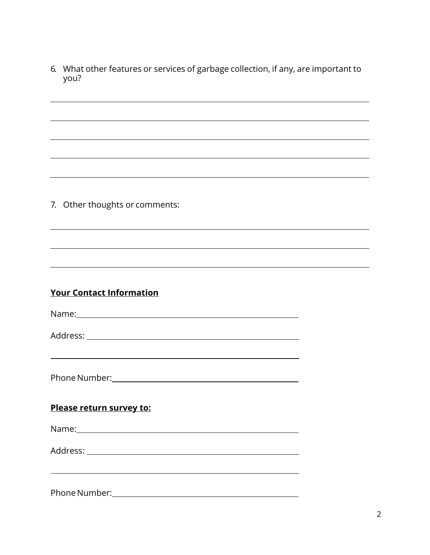6. What other features or services of garbage collection, if any, are important to you?

7. Other thoughts or comments:

## **Your Contact Information**

| Name: |  |  |  |
|-------|--|--|--|
|       |  |  |  |

Address:

Phone Number: with a state of the state of the state of the state of the state of the state of the state of the state of the state of the state of the state of the state of the state of the state of the state of the state

#### **Please return survey to:**

Name: Name and the second state of the second state of the second state of the second state of the second state of the second state of the second state of the second state of the second state of the second state of the sec

Address:

PhoneNumber: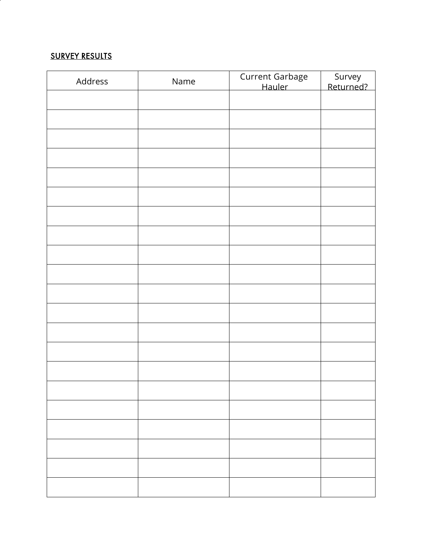#### <u>SURVEY RESULTS</u>

| Address | Name | Current Garbage<br>Hauler | Survey<br>Returned? |
|---------|------|---------------------------|---------------------|
|         |      |                           |                     |
|         |      |                           |                     |
|         |      |                           |                     |
|         |      |                           |                     |
|         |      |                           |                     |
|         |      |                           |                     |
|         |      |                           |                     |
|         |      |                           |                     |
|         |      |                           |                     |
|         |      |                           |                     |
|         |      |                           |                     |
|         |      |                           |                     |
|         |      |                           |                     |
|         |      |                           |                     |
|         |      |                           |                     |
|         |      |                           |                     |
|         |      |                           |                     |
|         |      |                           |                     |
|         |      |                           |                     |
|         |      |                           |                     |
|         |      |                           |                     |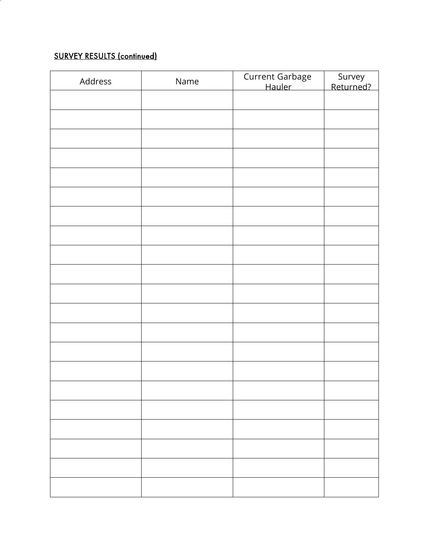# SURVEY RESULTS (continued)

| Address | Name | Current Garbage<br>Hauler | Survey<br>Returned? |
|---------|------|---------------------------|---------------------|
|         |      |                           |                     |
|         |      |                           |                     |
|         |      |                           |                     |
|         |      |                           |                     |
|         |      |                           |                     |
|         |      |                           |                     |
|         |      |                           |                     |
|         |      |                           |                     |
|         |      |                           |                     |
|         |      |                           |                     |
|         |      |                           |                     |
|         |      |                           |                     |
|         |      |                           |                     |
|         |      |                           |                     |
|         |      |                           |                     |
|         |      |                           |                     |
|         |      |                           |                     |
|         |      |                           |                     |
|         |      |                           |                     |
|         |      |                           |                     |
|         |      |                           |                     |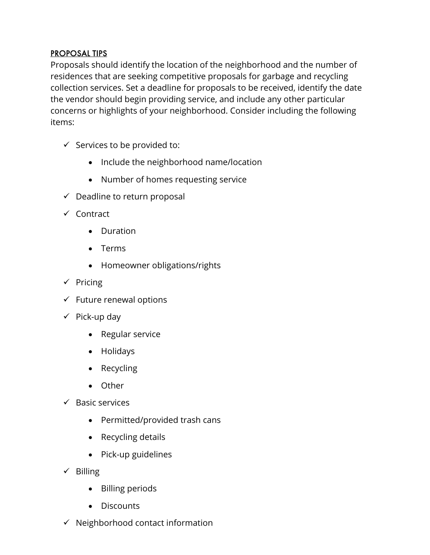## PROPOSAL TIPS

Proposals should identify the location of the neighborhood and the number of residences that are seeking competitive proposals for garbage and recycling collection services. Set a deadline for proposals to be received, identify the date the vendor should begin providing service, and include any other particular concerns or highlights of your neighborhood. Consider including the following items:

- $\checkmark$  Services to be provided to:
	- Include the neighborhood name/location
	- Number of homes requesting service
- $\checkmark$  Deadline to return proposal
- $\checkmark$  Contract
	- Duration
	- Terms
	- Homeowner obligations/rights
- $\checkmark$  Pricing
- $\checkmark$  Future renewal options
- $\checkmark$  Pick-up day
	- Regular service
	- Holidays
	- Recycling
	- Other
- $\checkmark$  Basic services
	- Permitted/provided trash cans
	- Recycling details
	- Pick-up guidelines
- $\checkmark$  Billing
	- Billing periods
	- Discounts
- $\checkmark$  Neighborhood contact information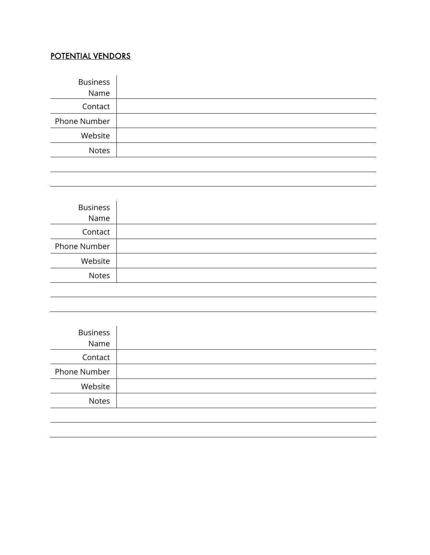# POTENTIAL VENDORS

| <b>Business</b> |  |
|-----------------|--|
| Name            |  |
| Contact         |  |
| Phone Number    |  |
| Website         |  |
| <b>Notes</b>    |  |
|                 |  |

| <b>Business</b><br>Name |  |
|-------------------------|--|
| Contact                 |  |
| Phone Number            |  |
| Website                 |  |
| <b>Notes</b>            |  |
|                         |  |

| <b>Business</b><br>Name |  |
|-------------------------|--|
| Contact                 |  |
| Phone Number            |  |
| Website                 |  |
| <b>Notes</b>            |  |
|                         |  |